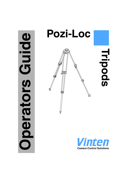# **Oping Operators Guide** perators



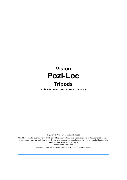# **Vision Pozi-Loc**

# **Tripods**

**Publication Part No. 3770-8 Issue 3**

Copyright © Vinten Broadcast Limited 2005

All rights reserved throughout the world. No part of this document may be stored in a retrieval system. transmitted, copied or reproduced in any way including, but not limited to, photocopy, photograph, magnetic or other record without the prior agreement and permission in writing of Vinten Broadcast Limited.

Vinten and Vision are registered trademarks of Vinten Broadcast Limited.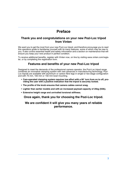# **Preface**

### <span id="page-2-0"></span>**Thank you and congratulations on your new Pozi-Loc tripod from Vinten**

We want you to get the most from your new Pozi-Loc tripod, and therefore encourage you to read this operators guide to familiarise yourself with its many features, some of which may be new to you. It also covers essential health and safety information and a section on maintenance that will ensure you keep your new product in perfect condition.

To receive additional benefits, register with Vinten now, on line by visiting www.vinten.com/register, or by completing the registration form.

### **Features and benefits of your new Pozi-Loc tripod**

Designed to meet the demands of the professional camera operator, the Pozi-Loc tripod range combines an innovative clamping system with new advances in manufacturing technology. Pozi-Loc tripods are available with aluminium or carbon fibre legs in single-or two-stage configuration and with 75 mm, 100 mm or 150 mm bowl mounting.

- **Cam-operated clamping system requires low effort with a 90° turn from on to off, providing the user with a positive indication that the tripod is securely locked.**
- **The profile of the knob ensures that camera cables cannot snag.**
- **Lighter than earlier models and with an increased payload capacity of 25kg (55lb).**
- **Extensive height range and unrivalled torsional stiffness.**

### **Once again, thank you for choosing the Pozi-Loc tripod.**

### **We are confident it will give you many years of reliable performance.**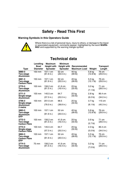# **Safety - Read This First**

### <span id="page-3-0"></span>**Warning Symbols in this Operators Guide**



Where there is a risk of personal injury, injury to others, or damage to the tripod or associated equipment, comments appear, highlighted by the word **WARN-ING!** and supported by the warning triangle symbol.

# **Technical data**

<span id="page-3-1"></span>

|                                                          | Levelling        | <b>Maximum</b>                   | <b>Minimum</b>                  |                       |                                 |                               |
|----------------------------------------------------------|------------------|----------------------------------|---------------------------------|-----------------------|---------------------------------|-------------------------------|
|                                                          | <b>Bowl</b>      | <b>Height with</b>               | <b>Height with</b>              | Recommended           |                                 | <b>Transport</b>              |
| <b>Type</b>                                              | <b>Diameter</b>  | <b>Spreader</b>                  | <b>Spreader</b>                 | <b>Maximum Load</b>   | Weight                          | Length                        |
| 3880-3<br>Two-stage<br><b>Aluminium</b>                  | $150$ mm         | $157.1$ cm<br>(61.9 in.)         | 52 cm<br>(20.5 in.)             | $45$ kg<br>(99 16)    | $5.8$ kg<br>$(12.8$ lb)         | 76 cm<br>(29.9 in.)           |
| 3881-3<br>Two-stage<br><b>Carbon Fibre</b>               | 150 mm           | 157.1 cm<br>(61.9 in.)           | 52 cm<br>(20.5 in.)             | 45 kg<br>$(99$ lb)    | $5.5$ kg<br>$(12.1 \text{ lb})$ | 76 cm<br>(29.9 in.)           |
| 3770-3<br>Two-stage<br><b>Aluminium</b>                  | 100 mm           | 156.2 cm<br>$(61.5 \text{ in.})$ | 41.6 cm<br>$(16.4 \text{ in.})$ | 25 kg<br>(55 lb)      | 3.2 kg<br>$(7.1 \text{ lb})$    | 71 cm<br>$(28.0 \text{ in.})$ |
| $3771 - 3$<br>Single-stage<br><b>Aluminium</b>           | $100 \text{ mm}$ | 145.5 cm<br>(57.3 in.)           | 64.7<br>(25.5 in.)              | 25 kg<br>(55 lb)      | $2.8$ kg<br>$(6.2 \text{ lb})$  | 86.4 cm<br>(34.0 in.)         |
| 3796-3<br>Single-stage<br>Aluminium<br>2 metre           | 100 mm           | 201.5 cm<br>(79.3 in.)           | 98.5<br>(38.8 in.)              | 25 kg<br>$(55 \,$ lb) | 3.7 kg<br>$(8.1 \text{ lb})$    | 115 cm<br>(45.3 in.)          |
| 3883-3<br>Two-stage<br><b>Aluminium</b><br><b>EFP</b>    | 100 mm           | 157.1 cm<br>(61.9 in.)           | 52 cm<br>(20.5 in.)             | 45 kg<br>(99 16)      | 5.8 kg<br>$(12.8$ lb)           | 76 cm<br>(29.9 in.)           |
| 3772-3<br>Two-stage<br><b>Carbon Fibre</b>               | 100 mm           | 156.2 cm<br>(61.5 in.)           | 41.6 cm<br>$(16.4 \text{ in.})$ | 25 kg<br>(55 lb)      | $2.6$ kg<br>$(5.7$ lb)          | 71 cm<br>(28.0 in.)           |
| 3773-3<br>Single-stage<br><b>Carbon Fibre</b>            | 100 mm           | 145.5 cm<br>(57.3 in.)           | 64.7<br>(25.5 in.)              | 25 kg<br>$(55 \, lb)$ | 2.3 kg<br>$(5.0 \, lb)$         | 86.4 cm<br>(34.0 in.)         |
| 3884-3<br>Two-stage<br><b>Carbon Fibre</b><br><b>EFP</b> | 100 mm           | 157.1 cm<br>(61.9 in.)           | 52 cm<br>(20.5 in.)             | 45 kg<br>$(99$ lb)    | $5.5$ kg<br>$(12.1$ lb)         | 76 cm<br>(29.9 in.)           |
| 3774-3<br>Two-stage<br><b>Aluminium</b>                  | 75 mm            | 156.2 cm<br>$(61.5 \text{ in.})$ | 41.6 cm<br>$(16.4 \text{ in.})$ | 25 kg<br>$(55 \, lb)$ | 3.2 kg<br>$(7.0 \text{ lb})$    | 71 cm<br>(28.0 in.)           |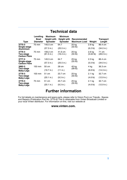# **Technical data**

|                                            | Levelling<br>Bowl | <b>Maximum</b><br><b>Height with</b> | <b>Minimum</b><br><b>Height with</b> | Recommended              |                       | Transport            |  |
|--------------------------------------------|-------------------|--------------------------------------|--------------------------------------|--------------------------|-----------------------|----------------------|--|
| <b>Type</b>                                | <b>Diameter</b>   | <b>Spreader</b>                      | <b>Spreader</b>                      | <b>Maximum Load</b>      | Weight                | Length               |  |
| 3775-3                                     | 75 mm             | 145.5 cm                             | 64.7                                 | 25 kg                    | $2.8$ kg              | 86.4 cm              |  |
| Single-stage<br><b>Aluminium</b>           |                   | (57.3 in.)                           | (25.5 in.)                           | (55 lb)                  | (6.2 lb)              | (34.0 in.)           |  |
| 3776-3<br>Two-stage<br><b>Carbon Fibre</b> | 75 mm             | 156.2 cm<br>(61.5 in.)               | 41.6 cm<br>$(16.4 \text{ in.})$      | 25 kg<br>(55 lb)         | $2.6$ kg<br>(5.64 lb) | 71 cm<br>(28.0 in.)  |  |
| 3777-3                                     | 75 mm             | 145.5 cm                             | 64.7                                 | 25 kg                    | $2.3$ kg              | 86.4 cm              |  |
| Single-stage<br><b>Carbon Fibre</b>        |                   | (57.3 in.)                           | (25.5 in.)                           | (55 lb)                  | $(5.0 \, lb)$         | (34.0 in.)           |  |
| 3882-3                                     | 150 mm            | 50 cm                                | 28 cm                                | 45 kg                    | 4 kg                  | 36.3 cm              |  |
| Two-stage<br><b>Baby-Legs</b>              |                   | (19.7 in.)                           | (11 in.)                             | (99 16)                  | $(8.8 \, lb)$         | (14.3 in.)           |  |
| 3778-3                                     | 100 mm            | 51 cm                                | 23.7 cm                              | 25 kg                    | $2.1$ kg              | 32.7 cm              |  |
| Two-stage<br><b>Baby-Legs</b>              |                   | (20.1 in.)                           | (9.3 in.)                            | $(55 \,$ lb)<br>(4.6 lb) |                       | (12.9 in.)           |  |
| 3779-3                                     | 75 mm             | 51 cm                                | 23.7 cm                              | 25 kg                    | $2.1$ kg              | 32.7 cm              |  |
| Two-stage<br><b>Baby-Legs</b>              |                   | (20.1 in.)                           | (9.3 in.)                            | (55 lb)                  | (4.6 1 <sub>b</sub> ) | $(12.9 \text{ in.})$ |  |

# **Further information**

<span id="page-4-0"></span>For full details on maintenance and spare parts, please refer to Vision Pozi-Loc Tripods - Spares and Repairs (Publication Part No. 3770-9) This is obtainable from Vinten Broadcast Limited or your local Vinten distributor. For information on-line, visit our website at

### **www.vinten.com.**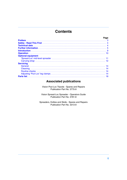# **Contents**

|                           |  |  |  |  |  |  |  |  |  |  |  | Page |
|---------------------------|--|--|--|--|--|--|--|--|--|--|--|------|
|                           |  |  |  |  |  |  |  |  |  |  |  |      |
|                           |  |  |  |  |  |  |  |  |  |  |  |      |
|                           |  |  |  |  |  |  |  |  |  |  |  |      |
|                           |  |  |  |  |  |  |  |  |  |  |  |      |
|                           |  |  |  |  |  |  |  |  |  |  |  |      |
|                           |  |  |  |  |  |  |  |  |  |  |  |      |
| <b>Optional equipment</b> |  |  |  |  |  |  |  |  |  |  |  |      |
|                           |  |  |  |  |  |  |  |  |  |  |  |      |
|                           |  |  |  |  |  |  |  |  |  |  |  |      |
| <b>Servicing</b>          |  |  |  |  |  |  |  |  |  |  |  |      |
|                           |  |  |  |  |  |  |  |  |  |  |  |      |
|                           |  |  |  |  |  |  |  |  |  |  |  |      |
|                           |  |  |  |  |  |  |  |  |  |  |  |      |
|                           |  |  |  |  |  |  |  |  |  |  |  |      |
|                           |  |  |  |  |  |  |  |  |  |  |  |      |
|                           |  |  |  |  |  |  |  |  |  |  |  |      |

## **Associated publications**

Vision Pozi-Loc Tripods - Spares and Repairs Publication Part No. 3770-9

Vision Spread-Loc Spreader - Operators Guide Publication Part No. 3781-8

Spreaders, Dollies and Skids - Spares and Repairs Publication Part No. 3313-9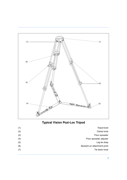

# <span id="page-6-2"></span><span id="page-6-1"></span><span id="page-6-0"></span>**Typical Vision Pozi-Loc Tripod**

<span id="page-6-3"></span>

| Tripod bowl                 | (1) |
|-----------------------------|-----|
| Clamp knob                  | (2) |
| Floor spreader              | (3) |
| Floor spreader adjuster     | (4) |
| Leg tie strap               | (5) |
| Spread-Loc attachment point | (6) |
| Tie down hook               | (7) |
|                             |     |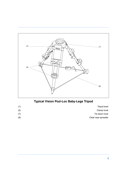

# <span id="page-7-0"></span>**Typical Vision Pozi-Loc Baby-Legs Tripod**

| Tripod bowl         |
|---------------------|
| Clamp knob          |
| Tie down hook       |
| Cleat rope spreader |
|                     |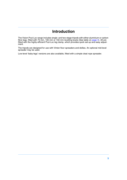# **Introduction**

<span id="page-8-0"></span>The Vision Pozi-Loc range includes single- and two-stage tripods with either aluminium or carbon fibre legs, fitted with 75 mm, 100 mm or 150 mm levelling bowls (See table on [page 4\)](#page-3-1). All are fitted with the highly-efficient Pozi-Loc leg clamp, which provides quick set-up and easy adjustment.

The tripods are designed for use with Vinten floor spreaders and dollies. An optional mid-level spreader may be used.

Low-level 'baby-legs' versions are also available, fitted with a simple cleat rope spreader.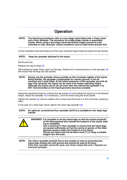# **Operation**

### <span id="page-9-0"></span>**NOTE: The following procedures refer to a two-stage tripod fitted with a Vision head and a floor spreader. The procedure for single-stage tripods is essentially similar. When using a two-stage tripod the bottom stages should be fully extended or fully retracted, unless conditions such as split levels prevent this.**

Lift the complete tripod and head out of the case using the finger holes just below the top clamps.

### **NOTE: Keep the spreader attached to the tripod**

Set the pan bar.

Release the leg tie strap [\(5\).](#page-6-0)

Still holding the finger holes, open out the legs. Gentle foot or hand pressure on the spreader [\(3\)](#page-6-1) will ensure that the legs are fully spread.

### **NOTE: Always use the spreader where possible as this increases rigidity of the tripod. Being flexible, the spreader compensates for uneven ground. It can be removed and a dolly fitted. At the fullest extension of the spreader and with all legs fully retracted, the tripod can be used at its lowest operating height. Although the tripod can be set up lower than this without the spreader, it is NOT recommended as the tripod geometry becomes unstable**

Adjust the operating height by undoing the leg clamps [\(2\)](#page-6-2) and pulling the tripod up to the desired height. Adjust the spreader  $(4)$  if necessary. Level the head using the level bubble.

Tighten the clamps [\(2\)](#page-6-2) until an audible click is heard and the knob is in the horizontal, locked position.

In the case of a 'baby-legs' tripod, tighten the cleat rope spreader  $(8)$ .

### **NOTE: An optional, conventional floor spreader (3379-3) is available for the 'baby-legs' tripods.**

|  | WARNING! It is possible to set the tripod legs so that the centre-of-gravity<br>of the tilted payload falls outside the footprint of the tripod, lead-<br>ing to instability.<br>Use a mid-level or floor spreader to ensure that the tripod legs<br>are spread sufficiently so that the centre-of-gravity of the tilted<br>payload remains within the footprint of the tripod.<br>Secure the tripod with the tie-down hook (7) or hang a suitable<br>weight from the hook. |
|--|-----------------------------------------------------------------------------------------------------------------------------------------------------------------------------------------------------------------------------------------------------------------------------------------------------------------------------------------------------------------------------------------------------------------------------------------------------------------------------|
|  | NOTE: The Vision spreader protects floors and carpets as well as preventing the<br>tripod legs sinking into soft ground and should be used at all times.                                                                                                                                                                                                                                                                                                                    |

**If the floor spreader cannot be used, use Vision carpet feet and a 'Spread-Loc' mid-level spreader.**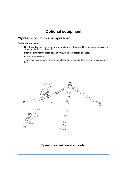# **Optional equipment**

# <span id="page-10-1"></span><span id="page-10-0"></span>**'Spread-Loc' mid-level spreader**

To install the spreader:

Grip the ends of each spreader arm in turn between thumb and fore-finger and press in the attachment release buttons [\(9\).](#page-10-2)

Push the arm into the tripod attachment  $(6)$  until the release engages.

Fit the carpet feet [\(10\).](#page-10-4)

To remove the spreader, press in the attachment release buttons  $(9)$  and free each arm in turn.

<span id="page-10-3"></span>

# <span id="page-10-4"></span><span id="page-10-2"></span>**Spread-Loc' mid-level spreader**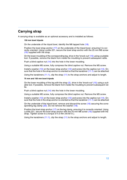# <span id="page-11-0"></span>**Carrying strap**

A carrying strap is available as an optional accessory and is installed as follows:

### **150 mm bowl tripods**

On the underside of the tripod bowl, identify the M6 tapped hole [\(18\).](#page-12-0)

Position the bowl strap anchor [\(17\)](#page-12-1) on the underside of the tripod bowl, ensuring it is correctly oriented. Using Loctite 221, secure the bowl strap anchor with the 25 mm M6 screw [\(16\)](#page-12-2) supplied with the strap.

On the lower moulding of the corresponding leg, drive in the 'knock-out' [\(15\)](#page-12-3) using a suitable tool. If possible, remove the blank from inside the moulding to prevent subsequent rattle.

Push a blind captive nut [\(14\)](#page-12-4) into the hole in the lower moulding.

Using a suitable M5 screw, fully compress the blind captive nut. Remove the M5 screw.

Install a washer [\(13\)](#page-12-5) on the lower strap anchor [\(12\)](#page-12-6) and screw into the captive nut [\(14\)](#page-12-4). Ensure that the hole in the strap anchor is oriented so that the karabiner  $(11.1)$  can be attached

Using the karabiners [\(11.1\),](#page-12-7) clip the strap [\(11\)](#page-12-8) to the strap anchors and adjust to length.

### **75 mm and 100 mm bowl tripods**

On the lower moulding of the leg with the strap  $(5)$ , drive in the 'knock-out' [\(15\)](#page-12-3) using a suitable tool. If possible, remove the blank from inside the moulding to prevent subsequent rattle.

Push a blind captive nut [\(14\)](#page-12-4) into the hole in the lower moulding.

Using a suitable M5 screw, fully compress the blind captive nut. Remove the M5 screw.

Install a washer  $(13)$  on the lower strap anchor  $(12)$  and screw into the captive nut  $(14)$ . Ensure that the hole in the strap anchor is oriented so that the karabiner  $(11.1)$  can be attached

On the underside of the tripod bowl, remove and discard the screw [\(16\)](#page-12-9) securing the corresponding leg clamp  $(20)$ . Do not remove the washer  $(19)$ .

Position the bowl strap anchor [\(17\)](#page-12-12) on the leg clamp, ensuring it is correctly oriented. Using Loctite 221, secure the bowl strap anchor with the 25 mm M6 screw [\(16\)](#page-12-9) supplied with the strap. Tighten screw to a torque of 4.5 Nm (40 lbf in.).

Using the karabiners [\(11.1\),](#page-12-7) clip the strap [\(11\)](#page-12-8) to the strap anchors and adjust to length.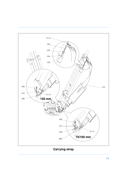<span id="page-12-7"></span><span id="page-12-6"></span><span id="page-12-5"></span><span id="page-12-4"></span><span id="page-12-3"></span><span id="page-12-2"></span><span id="page-12-1"></span>

<span id="page-12-12"></span><span id="page-12-11"></span><span id="page-12-10"></span><span id="page-12-9"></span><span id="page-12-8"></span><span id="page-12-0"></span>**Carrying strap**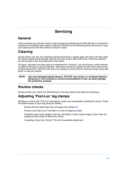# **Servicing**

# <span id="page-13-1"></span><span id="page-13-0"></span>**General**

Vision products are robustly made to high engineering standards and little attention is required to maintain serviceability save regular cleaning. Attention to the following points will ensure a long and useful service life with minimum need for repair.

# <span id="page-13-2"></span>**Cleaning**

During indoor use, the only cleaning required should be a regular wipe over with a lint-free cloth. Dirt accumulated during storage may be removed using a semi-stiff brush. Particular attention should be paid to the mounting bowl of the tripod.

All tripod, spreader and dolly parts are weatherproof. However, use out-of-doors under adverse conditions will require special attention. Salt spray should be washed off with fresh water at the earliest opportunity. Sand and dirt acts as an abrasive and should be removed using a semi-stiff brush or vacuum cleaner.

**NOTE: Use only detergent-based cleaners. DO NOT use solvent- or oil-based cleaners, abrasives or wire brushes to remove accumulations of dirt, as these damage the protective surfaces.**

# <span id="page-13-3"></span>**Routine checks**

During normal use, check the effectiveness of the leg clamps and adjust as necessary.

# <span id="page-13-4"></span>**Adjusting 'Pozi-Loc' leg clamps**

Bedding-in occurs with 'Pozi-Loc' leg clamps, which may necessitate resetting the clamp. Check the effectiveness of each leg clamp as follows:

Extend all three tripod legs fully and apply the clamps [\(2\)](#page-6-2).

Position each leg in turn vertically on a set of weighing scales.

Gradually apply body weight to the leg until either or both clamps begin to slip. Note the reading on the scales at which this occurs.

A reading of less than 35 kg (77 lb) will necessitate adjustment.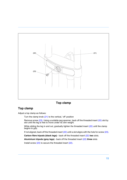<span id="page-14-2"></span>

### <span id="page-14-0"></span>**Top clamp**

### <span id="page-14-1"></span>**Top clamp**

Adjust a top clamp as follows:

Turn the clamp knob [\(21\)](#page-14-0) to the vertical, 'off' position

Remove screw [\(23\)](#page-14-1). Using a suitable peg spanner, back off the threaded insert [\(22\)](#page-14-2) slot by slot until the leg is free to move under its own weight.

While sliding the leg in and out, gradually tighten the threaded insert [\(22\)](#page-14-2) until the clamp begins to grip.

If not aligned, back off the threaded insert [\(22\)](#page-14-2) until a slot aligns with the hole for screw [\(23\)](#page-14-1).

**Carbon fibre tripods (black legs)** - back off the threaded insert [\(22\)](#page-14-2) **two** slots.

**Aluminium tripods (grey legs)** - back off the threaded insert [\(22\)](#page-14-2) **three** slots

Install screw [\(23\)](#page-14-1) to secure the threaded insert [\(22\)](#page-14-2).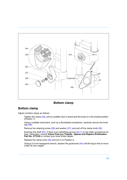<span id="page-15-6"></span><span id="page-15-0"></span>

### <span id="page-15-5"></span><span id="page-15-4"></span>**Bottom clamp**

### <span id="page-15-3"></span><span id="page-15-2"></span><span id="page-15-1"></span>**Bottom clamp**

Adjust a bottom clamp as follows:

Tighten the clamp [\(26\)](#page-15-0) until an audible click is heard and the knob is in the locked position (Position 1).

Using a suitable instrument, such as a flat-bladed screwdriver, carefully remove the knob cap [\(29\).](#page-15-1)

Remove the retaining screw [\(28\)](#page-15-2) and washer [\(27\),](#page-15-3) and pull off the clamp knob [\(26\)](#page-15-0).

Examine the shaft  $(24)$ . If there is an identifying groove  $(24.1)$  on the shaft, proceed as follows. Otherwise, consult **Vision Pozi-Loc Tripods - Spares and Repairs (Publication Part No. 3770-9)** or contact your local Vinten dealer.

Replace the clamp knob [\(26\)](#page-15-0) and turn it to Position 2.

Using a 2.5 mm hexagonal wrench, slacken the grubscrew [\(24\)](#page-15-6) until the leg is free to move under its own weight.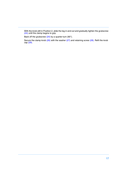With the knob still in Position 2, slide the leg in and out and gradually tighten the grubscrew [\(24\)](#page-15-6) until the clamp begins to grip.

Back off the grubscrew  $(24)$  by a quarter-turn  $(90^{\circ})$ .

Secure the clamp knob  $(26)$  with the washer  $(27)$  and retaining screw  $(28)$ . Refit the knob cap [\(29\).](#page-15-1)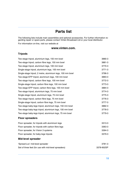# **Parts list**

<span id="page-17-0"></span>The following lists include main assemblies and optional accessories. For further information regarding repair or spare parts, please contact Vinten Broadcast Ltd or your local distributor.

For information on-line, visit our website at

### **www.vinten.com.**

### **Tripods**

| Two-stage tripod, aluminium legs, 150 mm bowl             | 3880-3     |
|-----------------------------------------------------------|------------|
| Two-stage tripod, carbon fibre legs, 150 mm bowl          | 3881-3     |
| Two-stage tripod, aluminium legs, 100 mm bowl             | 3770-3     |
| Single-stage tripod, aluminium legs, 100 mm bowl          | 3771-3     |
| Single-stage tripod, 2 metre, aluminium legs, 100 mm bowl | 3796-3     |
| Two-stage EFP tripod, aluminium legs, 100 mm bowl         | 3883-3     |
| Two-stage tripod, carbon fibre legs, 100 mm bowl          | 3772-3     |
| Single-stage tripod, carbon fibre legs, 100 mm bowl       | 3773-3     |
| Two-stage EFP tripod, carbon fibre legs, 100 mm bowl      | 3884-3     |
| Two-stage tripod, aluminium legs, 75 mm bowl              | 3774-3     |
| Single-stage tripod, aluminium legs, 75 mm bowl           | 3775-3     |
| Two-stage tripod, carbon fibre legs, 75 mm bowl           | 3776-3     |
| Single-stage tripod, carbon fibre legs, 75 mm bowl        | 3777-3     |
| Two-stage baby-legs tripod, aluminium legs, 150 mm bowl   | 3882-3     |
| Two-stage baby-legs tripod, aluminium legs, 100 mm bowl   | 3778-3     |
| Two-stage baby-legs tripod, aluminium legs, 75 mm bowl    | 3779-3     |
| <b>Floor spreaders</b>                                    |            |
| Floor spreader, for tripods with aluminium legs           | 3313-3     |
| Floor spreader, for tripods with carbon fibre legs        | 3363-3     |
| Floor spreader, for Vision 3 systems                      | 3394-3     |
| Floor spreader, for baby-legs tripods                     | 3379-3     |
| <b>Mid-level spreader</b>                                 |            |
| 'Spread-Loc' mid-level spreader                           | 3781-3     |
| Set of three feet (for use with mid-level spreaders)      | 3378-902SP |